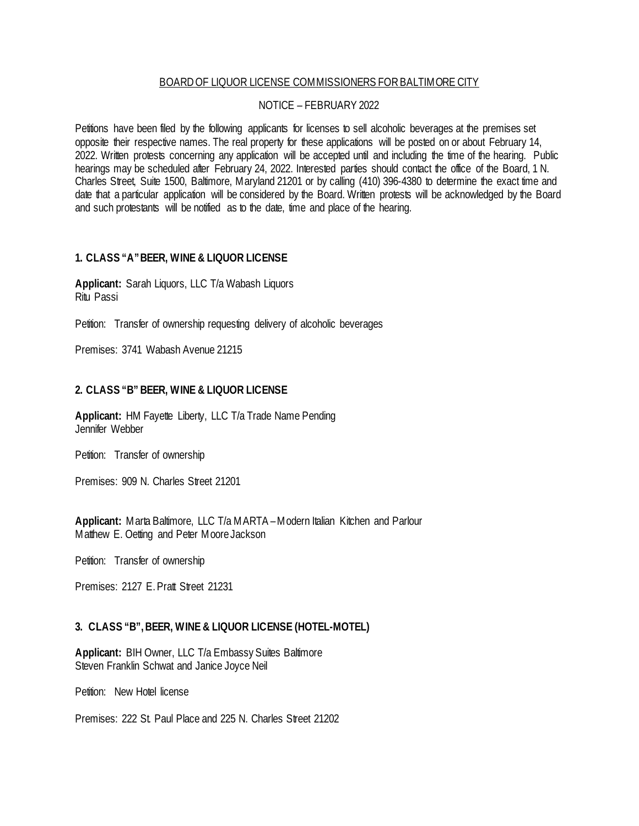#### BOARD OF LIQUOR LICENSE COMMISSIONERS FOR BALTIMORE CITY

# NOTICE – FEBRUARY 2022

Petitions have been filed by the following applicants for licenses to sell alcoholic beverages at the premises set opposite their respective names. The real property for these applications will be posted on or about February 14, 2022. Written protests concerning any application will be accepted until and including the time of the hearing. Public hearings may be scheduled after February 24, 2022. Interested parties should contact the office of the Board, 1 N. Charles Street, Suite 1500, Baltimore, Maryland 21201 or by calling (410) 396-4380 to determine the exact time and date that a particular application will be considered by the Board. Written protests will be acknowledged by the Board and such protestants will be notified as to the date, time and place of the hearing.

#### **1. CLASS "A" BEER, WINE & LIQUOR LICENSE**

**Applicant:** Sarah Liquors, LLC T/a Wabash Liquors Ritu Passi

Petition: Transfer of ownership requesting delivery of alcoholic beverages

Premises: 3741 Wabash Avenue 21215

# **2. CLASS "B" BEER, WINE & LIQUOR LICENSE**

**Applicant:** HM Fayette Liberty, LLC T/a Trade Name Pending Jennifer Webber

Petition: Transfer of ownership

Premises: 909 N. Charles Street 21201

**Applicant:** Marta Baltimore, LLC T/a MARTA – Modern Italian Kitchen and Parlour Matthew E. Oetting and Peter Moore Jackson

Petition: Transfer of ownership

Premises: 2127 E. Pratt Street 21231

# **3. CLASS "B", BEER, WINE & LIQUOR LICENSE (HOTEL-MOTEL)**

**Applicant:** BIH Owner, LLC T/a Embassy Suites Baltimore Steven Franklin Schwat and Janice Joyce Neil

Petition: New Hotel license

Premises: 222 St. Paul Place and 225 N. Charles Street 21202